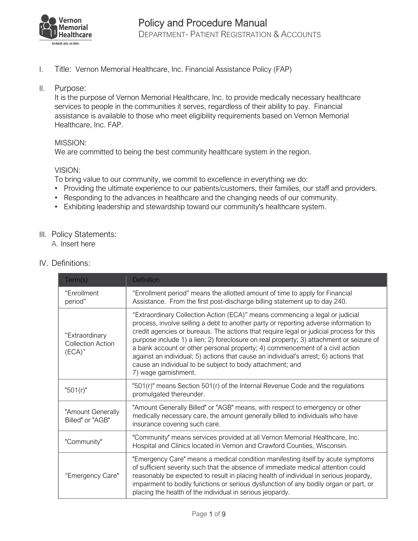

I. Title: Vernon Memorial Healthcare, Inc. Financial Assistance Policy (FAP)

#### II. Purpose:

It is the purpose of Vernon Memorial Healthcare, Inc. to provide medically necessary healthcare services to people in the communities it serves, regardless of their ability to pay. Financial assistance is available to those who meet eligibility requirements based on Vernon Memorial Healthcare, Inc. FAP.

## MISSION:

We are committed to being the best community healthcare system in the region.

## VISION:

To bring value to our community, we commit to excellence in everything we do:

- Providing the ultimate experience to our patients/customers, their families, our staff and providers.
- Responding to the advances in healthcare and the changing needs of our community.
- Exhibiting leadership and stewardship toward our community's healthcare system.

## III. Policy Statements:

A. Insert here

IV. Definitions:

| Term(s)                                              | <b>Definition</b>                                                                                                                                                                                                                                                                                                                                                                                                                                                                                                                                                                                                       |  |
|------------------------------------------------------|-------------------------------------------------------------------------------------------------------------------------------------------------------------------------------------------------------------------------------------------------------------------------------------------------------------------------------------------------------------------------------------------------------------------------------------------------------------------------------------------------------------------------------------------------------------------------------------------------------------------------|--|
| "Enrollment<br>period"                               | "Enrollment period" means the allotted amount of time to apply for Financial<br>Assistance. From the first post-discharge billing statement up to day 240.                                                                                                                                                                                                                                                                                                                                                                                                                                                              |  |
| "Extraordinary<br><b>Collection Action</b><br>(ECA)" | "Extraordinary Collection Action (ECA)" means commencing a legal or judicial<br>process, involve selling a debt to another party or reporting adverse information to<br>credit agencies or bureaus. The actions that require legal or judicial process for this<br>purpose include 1) a lien; 2) foreclosure on real property; 3) attachment or seizure of<br>a bank account or other personal property; 4) commencement of a civil action<br>against an individual; 5) actions that cause an individual's arrest; 6) actions that<br>cause an individual to be subject to body attachment; and<br>7) wage garnishment. |  |
| " $501(r)$ "                                         | "501(r)" means Section 501(r) of the Internal Revenue Code and the regulations<br>promulgated thereunder.                                                                                                                                                                                                                                                                                                                                                                                                                                                                                                               |  |
| "Amount Generally<br>Billed" or "AGB"                | "Amount Generally Billed" or "AGB" means, with respect to emergency or other<br>medically necessary care, the amount generally billed to individuals who have<br>insurance covering such care.                                                                                                                                                                                                                                                                                                                                                                                                                          |  |
| "Community"                                          | "Community" means services provided at all Vernon Memorial Healthcare, Inc.<br>Hospital and Clinics located in Vernon and Crawford Counties, Wisconsin.                                                                                                                                                                                                                                                                                                                                                                                                                                                                 |  |
| "Emergency Care"                                     | "Emergency Care" means a medical condition manifesting itself by acute symptoms<br>of sufficient severity such that the absence of immediate medical attention could<br>reasonably be expected to result in placing health of individual in serious jeopardy,<br>impairment to bodily functions or serious dysfunction of any bodily organ or part, or<br>placing the health of the individual in serious jeopardy.                                                                                                                                                                                                     |  |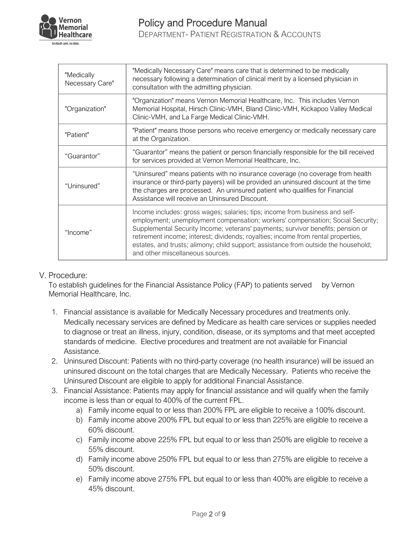

| "Medically<br>Necessary Care" | "Medically Necessary Care" means care that is determined to be medically<br>necessary following a determination of clinical merit by a licensed physician in<br>consultation with the admitting physician.                                                                                                                                                                                                                                                        |  |
|-------------------------------|-------------------------------------------------------------------------------------------------------------------------------------------------------------------------------------------------------------------------------------------------------------------------------------------------------------------------------------------------------------------------------------------------------------------------------------------------------------------|--|
| "Organization"                | "Organization" means Vernon Memorial Healthcare, Inc. This includes Vernon<br>Memorial Hospital, Hirsch Clinic-VMH, Bland Clinic-VMH, Kickapoo Valley Medical<br>Clinic-VMH, and La Farge Medical Clinic-VMH.                                                                                                                                                                                                                                                     |  |
| "Patient"                     | "Patient" means those persons who receive emergency or medically necessary care<br>at the Organization.                                                                                                                                                                                                                                                                                                                                                           |  |
| "Guarantor"                   | "Guarantor" means the patient or person financially responsible for the bill received<br>for services provided at Vernon Memorial Healthcare, Inc.                                                                                                                                                                                                                                                                                                                |  |
| "Uninsured"                   | "Uninsured" means patients with no insurance coverage (no coverage from health<br>insurance or third-party payers) will be provided an uninsured discount at the time<br>the charges are processed. An uninsured patient who qualifies for Financial<br>Assistance will receive an Uninsured Discount.                                                                                                                                                            |  |
| "Income"                      | Income includes: gross wages; salaries; tips; income from business and self-<br>employment; unemployment compensation; workers' compensation; Social Security;<br>Supplemental Security Income; veterans' payments; survivor benefits; pension or<br>retirement income; interest; dividends; royalties; income from rental properties,<br>estates, and trusts; alimony; child support; assistance from outside the household;<br>and other miscellaneous sources. |  |

# V. Procedure:

To establish guidelines for the Financial Assistance Policy (FAP) to patients served by Vernon Memorial Healthcare, Inc.

- 1. Financial assistance is available for Medically Necessary procedures and treatments only. Medically necessary services are defined by Medicare as health care services or supplies needed to diagnose or treat an illness, injury, condition, disease, or its symptoms and that meet accepted standards of medicine. Elective procedures and treatment are not available for Financial Assistance.
- 2. Uninsured Discount: Patients with no third-party coverage (no health insurance) will be issued an uninsured discount on the total charges that are Medically Necessary. Patients who receive the Uninsured Discount are eligible to apply for additional Financial Assistance.
- 3. Financial Assistance: Patients may apply for financial assistance and will qualify when the family income is less than or equal to 400% of the current FPL.
	- a) Family income equal to or less than 200% FPL are eligible to receive a 100% discount.
	- b) Family income above 200% FPL but equal to or less than 225% are eligible to receive a 60% discount.
	- c) Family income above 225% FPL but equal to or less than 250% are eligible to receive a 55% discount.
	- d) Family income above 250% FPL but equal to or less than 275% are eligible to receive a 50% discount.
	- e) Family income above 275% FPL but equal to or less than 400% are eligible to receive a 45% discount.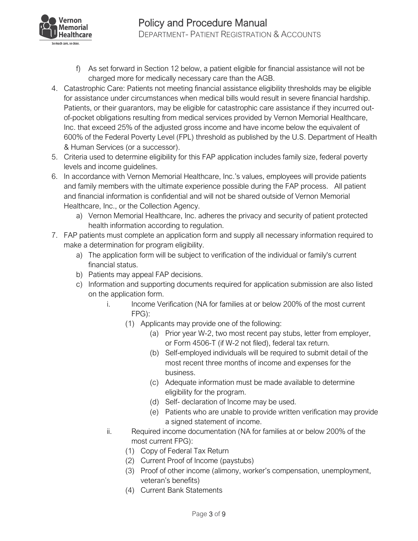

- f) As set forward in Section 12 below, a patient eligible for financial assistance will not be charged more for medically necessary care than the AGB.
- 4. Catastrophic Care: Patients not meeting financial assistance eligibility thresholds may be eligible for assistance under circumstances when medical bills would result in severe financial hardship. Patients, or their guarantors, may be eligible for catastrophic care assistance if they incurred outof-pocket obligations resulting from medical services provided by Vernon Memorial Healthcare, Inc. that exceed 25% of the adjusted gross income and have income below the equivalent of 600% of the Federal Poverty Level (FPL) threshold as published by the U.S. Department of Health & Human Services (or a successor).
- 5. Criteria used to determine eligibility for this FAP application includes family size, federal poverty levels and income guidelines.
- 6. In accordance with Vernon Memorial Healthcare, Inc.'s values, employees will provide patients and family members with the ultimate experience possible during the FAP process. All patient and financial information is confidential and will not be shared outside of Vernon Memorial Healthcare, Inc., or the Collection Agency.
	- a) Vernon Memorial Healthcare, Inc. adheres the privacy and security of patient protected health information according to regulation.
- 7. FAP patients must complete an application form and supply all necessary information required to make a determination for program eligibility.
	- a) The application form will be subject to verification of the individual or family's current financial status.
	- b) Patients may appeal FAP decisions.
	- c) Information and supporting documents required for application submission are also listed on the application form.
		- i. Income Verification (NA for families at or below 200% of the most current FPG):
			- (1) Applicants may provide one of the following:
				- (a) Prior year W-2, two most recent pay stubs, letter from employer, or Form 4506-T (if W-2 not filed), federal tax return.
				- (b) Self-employed individuals will be required to submit detail of the most recent three months of income and expenses for the business.
				- (c) Adequate information must be made available to determine eligibility for the program.
				- (d) Self- declaration of Income may be used.
				- (e) Patients who are unable to provide written verification may provide a signed statement of income.
		- ii. Required income documentation (NA for families at or below 200% of the most current FPG):
			- (1) Copy of Federal Tax Return
			- (2) Current Proof of Income (paystubs)
			- (3) Proof of other income (alimony, worker's compensation, unemployment, veteran's benefits)
			- (4) Current Bank Statements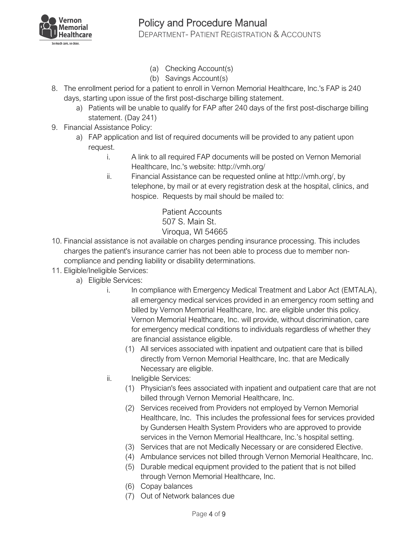

- (a) Checking Account(s)
- (b) Savings Account(s)
- 8. The enrollment period for a patient to enroll in Vernon Memorial Healthcare, Inc.'s FAP is 240 days, starting upon issue of the first post-discharge billing statement.
	- a) Patients will be unable to qualify for FAP after 240 days of the first post-discharge billing statement. (Day 241)
- 9. Financial Assistance Policy:
	- a) FAP application and list of required documents will be provided to any patient upon request.
		- i. A link to all required FAP documents will be posted on Vernon Memorial Healthcare, Inc.'s website: http://vmh.org/
		- ii. Financial Assistance can be requested online at http://vmh.org/, by telephone, by mail or at every registration desk at the hospital, clinics, and hospice. Requests by mail should be mailed to:

Patient Accounts 507 S. Main St. Viroqua, WI 54665

- 10. Financial assistance is not available on charges pending insurance processing. This includes charges the patient's insurance carrier has not been able to process due to member noncompliance and pending liability or disability determinations.
- 11. Eligible/Ineligible Services:
	- a) Eligible Services:
		- i. In compliance with Emergency Medical Treatment and Labor Act (EMTALA), all emergency medical services provided in an emergency room setting and billed by Vernon Memorial Healthcare, Inc. are eligible under this policy. Vernon Memorial Healthcare, Inc. will provide, without discrimination, care for emergency medical conditions to individuals regardless of whether they are financial assistance eligible.
			- (1) All services associated with inpatient and outpatient care that is billed directly from Vernon Memorial Healthcare, Inc. that are Medically Necessary are eligible.
		- ii. Ineligible Services:
			- (1) Physician's fees associated with inpatient and outpatient care that are not billed through Vernon Memorial Healthcare, Inc.
			- (2) Services received from Providers not employed by Vernon Memorial Healthcare, Inc. This includes the professional fees for services provided by Gundersen Health System Providers who are approved to provide services in the Vernon Memorial Healthcare, Inc.'s hospital setting.
			- (3) Services that are not Medically Necessary or are considered Elective.
			- (4) Ambulance services not billed through Vernon Memorial Healthcare, Inc.
			- (5) Durable medical equipment provided to the patient that is not billed through Vernon Memorial Healthcare, Inc.
			- (6) Copay balances
			- (7) Out of Network balances due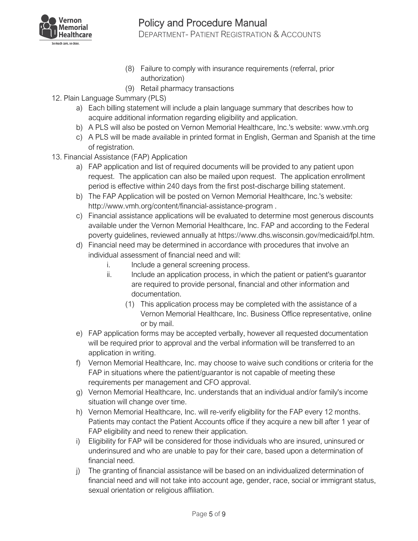

- (8) Failure to comply with insurance requirements (referral, prior authorization)
- (9) Retail pharmacy transactions
- 12. Plain Language Summary (PLS)
	- a) Each billing statement will include a plain language summary that describes how to acquire additional information regarding eligibility and application.
	- b) A PLS will also be posted on Vernon Memorial Healthcare, Inc.'s website: www.vmh.org
	- c) A PLS will be made available in printed format in English, German and Spanish at the time of registration.
- 13. Financial Assistance (FAP) Application
	- a) FAP application and list of required documents will be provided to any patient upon request. The application can also be mailed upon request. The application enrollment period is effective within 240 days from the first post-discharge billing statement.
	- b) The FAP Application will be posted on Vernon Memorial Healthcare, Inc.'s website: http://www.vmh.org/content/financial-assistance-program .
	- c) Financial assistance applications will be evaluated to determine most generous discounts available under the Vernon Memorial Healthcare, Inc. FAP and according to the Federal poverty guidelines, reviewed annually at https://www.dhs.wisconsin.gov/medicaid/fpl.htm.
	- d) Financial need may be determined in accordance with procedures that involve an individual assessment of financial need and will:
		- i. Include a general screening process.
		- ii. Include an application process, in which the patient or patient's guarantor are required to provide personal, financial and other information and documentation.
			- (1) This application process may be completed with the assistance of a Vernon Memorial Healthcare, Inc. Business Office representative, online or by mail.
	- e) FAP application forms may be accepted verbally, however all requested documentation will be required prior to approval and the verbal information will be transferred to an application in writing.
	- f) Vernon Memorial Healthcare, Inc. may choose to waive such conditions or criteria for the FAP in situations where the patient/guarantor is not capable of meeting these requirements per management and CFO approval.
	- g) Vernon Memorial Healthcare, Inc. understands that an individual and/or family's income situation will change over time.
	- h) Vernon Memorial Healthcare, Inc. will re-verify eligibility for the FAP every 12 months. Patients may contact the Patient Accounts office if they acquire a new bill after 1 year of FAP eligibility and need to renew their application.
	- i) Eligibility for FAP will be considered for those individuals who are insured, uninsured or underinsured and who are unable to pay for their care, based upon a determination of financial need.
	- j) The granting of financial assistance will be based on an individualized determination of financial need and will not take into account age, gender, race, social or immigrant status, sexual orientation or religious affiliation.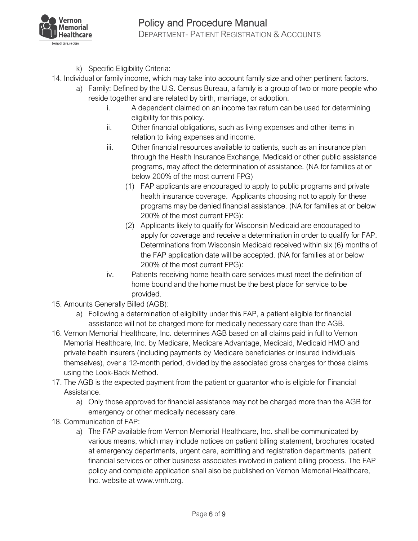

- k) Specific Eligibility Criteria:
- 14. Individual or family income, which may take into account family size and other pertinent factors.
	- a) Family: Defined by the U.S. Census Bureau, a family is a group of two or more people who reside together and are related by birth, marriage, or adoption.
		- i. A dependent claimed on an income tax return can be used for determining eligibility for this policy.
		- ii. Other financial obligations, such as living expenses and other items in relation to living expenses and income.
		- iii. Other financial resources available to patients, such as an insurance plan through the Health Insurance Exchange, Medicaid or other public assistance programs, may affect the determination of assistance. (NA for families at or below 200% of the most current FPG)
			- (1) FAP applicants are encouraged to apply to public programs and private health insurance coverage. Applicants choosing not to apply for these programs may be denied financial assistance. (NA for families at or below 200% of the most current FPG):
			- (2) Applicants likely to qualify for Wisconsin Medicaid are encouraged to apply for coverage and receive a determination in order to qualify for FAP. Determinations from Wisconsin Medicaid received within six (6) months of the FAP application date will be accepted. (NA for families at or below 200% of the most current FPG):
		- iv. Patients receiving home health care services must meet the definition of home bound and the home must be the best place for service to be provided.
- 15. Amounts Generally Billed (AGB):
	- a) Following a determination of eligibility under this FAP, a patient eligible for financial assistance will not be charged more for medically necessary care than the AGB.
- 16. Vernon Memorial Healthcare, Inc. determines AGB based on all claims paid in full to Vernon Memorial Healthcare, Inc. by Medicare, Medicare Advantage, Medicaid, Medicaid HMO and private health insurers (including payments by Medicare beneficiaries or insured individuals themselves), over a 12-month period, divided by the associated gross charges for those claims using the Look-Back Method.
- 17. The AGB is the expected payment from the patient or guarantor who is eligible for Financial Assistance.
	- a) Only those approved for financial assistance may not be charged more than the AGB for emergency or other medically necessary care.
- 18. Communication of FAP:
	- a) The FAP available from Vernon Memorial Healthcare, Inc. shall be communicated by various means, which may include notices on patient billing statement, brochures located at emergency departments, urgent care, admitting and registration departments, patient financial services or other business associates involved in patient billing process. The FAP policy and complete application shall also be published on Vernon Memorial Healthcare, Inc. website at www.vmh.org.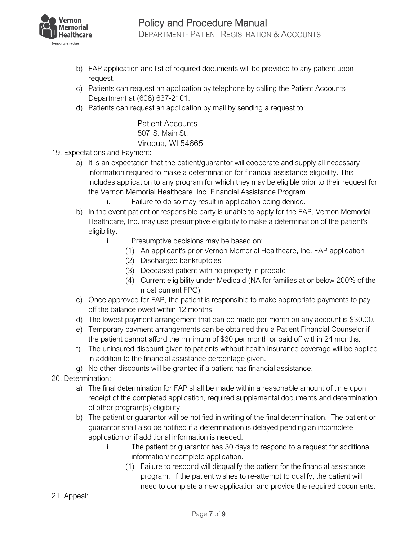

- b) FAP application and list of required documents will be provided to any patient upon request.
- c) Patients can request an application by telephone by calling the Patient Accounts Department at (608) 637-2101.
- d) Patients can request an application by mail by sending a request to:

Patient Accounts 507 S. Main St. Viroqua, WI 54665

- 19. Expectations and Payment:
	- a) It is an expectation that the patient/guarantor will cooperate and supply all necessary information required to make a determination for financial assistance eligibility. This includes application to any program for which they may be eligible prior to their request for the Vernon Memorial Healthcare, Inc. Financial Assistance Program.
		- i. Failure to do so may result in application being denied.
	- b) In the event patient or responsible party is unable to apply for the FAP, Vernon Memorial Healthcare, Inc. may use presumptive eligibility to make a determination of the patient's eligibility.
		- i. Presumptive decisions may be based on:
			- (1) An applicant's prior Vernon Memorial Healthcare, Inc. FAP application
			- (2) Discharged bankruptcies
			- (3) Deceased patient with no property in probate
			- (4) Current eligibility under Medicaid (NA for families at or below 200% of the most current FPG)
	- c) Once approved for FAP, the patient is responsible to make appropriate payments to pay off the balance owed within 12 months.
	- d) The lowest payment arrangement that can be made per month on any account is \$30.00.
	- e) Temporary payment arrangements can be obtained thru a Patient Financial Counselor if the patient cannot afford the minimum of \$30 per month or paid off within 24 months.
	- f) The uninsured discount given to patients without health insurance coverage will be applied in addition to the financial assistance percentage given.
	- g) No other discounts will be granted if a patient has financial assistance.
- 20. Determination:
	- a) The final determination for FAP shall be made within a reasonable amount of time upon receipt of the completed application, required supplemental documents and determination of other program(s) eligibility.
	- b) The patient or guarantor will be notified in writing of the final determination. The patient or guarantor shall also be notified if a determination is delayed pending an incomplete application or if additional information is needed.
		- i. The patient or guarantor has 30 days to respond to a request for additional information/incomplete application.
			- (1) Failure to respond will disqualify the patient for the financial assistance program. If the patient wishes to re-attempt to qualify, the patient will need to complete a new application and provide the required documents.
- 21. Appeal: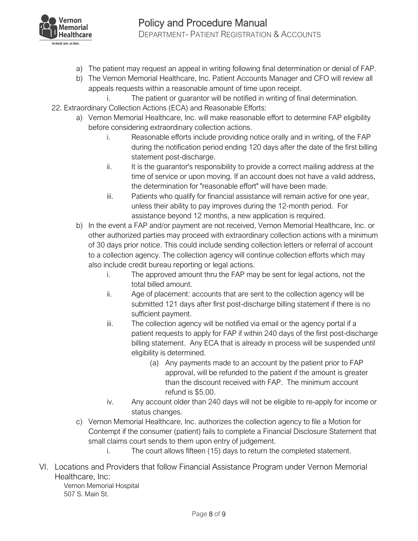

- a) The patient may request an appeal in writing following final determination or denial of FAP.
- b) The Vernon Memorial Healthcare, Inc. Patient Accounts Manager and CFO will review all appeals requests within a reasonable amount of time upon receipt.
	- i. The patient or guarantor will be notified in writing of final determination.
- 22. Extraordinary Collection Actions (ECA) and Reasonable Efforts:
	- a) Vernon Memorial Healthcare, Inc. will make reasonable effort to determine FAP eligibility before considering extraordinary collection actions.
		- i. Reasonable efforts include providing notice orally and in writing, of the FAP during the notification period ending 120 days after the date of the first billing statement post-discharge.
		- ii. It is the guarantor's responsibility to provide a correct mailing address at the time of service or upon moving. If an account does not have a valid address, the determination for "reasonable effort" will have been made.
		- iii. Patients who qualify for financial assistance will remain active for one year, unless their ability to pay improves during the 12-month period. For assistance beyond 12 months, a new application is required.
	- b) In the event a FAP and/or payment are not received, Vernon Memorial Healthcare, Inc. or other authorized parties may proceed with extraordinary collection actions with a minimum of 30 days prior notice. This could include sending collection letters or referral of account to a collection agency. The collection agency will continue collection efforts which may also include credit bureau reporting or legal actions.
		- i. The approved amount thru the FAP may be sent for legal actions, not the total billed amount.
		- ii. Age of placement: accounts that are sent to the collection agency will be submitted 121 days after first post-discharge billing statement if there is no sufficient payment.
		- iii. The collection agency will be notified via email or the agency portal if a patient requests to apply for FAP if within 240 days of the first post-discharge billing statement. Any ECA that is already in process will be suspended until eligibility is determined.
			- (a) Any payments made to an account by the patient prior to FAP approval, will be refunded to the patient if the amount is greater than the discount received with FAP. The minimum account refund is \$5.00.
		- iv. Any account older than 240 days will not be eligible to re-apply for income or status changes.
	- c) Vernon Memorial Healthcare, Inc. authorizes the collection agency to file a Motion for Contempt if the consumer (patient) fails to complete a Financial Disclosure Statement that small claims court sends to them upon entry of judgement.
		- i. The court allows fifteen (15) days to return the completed statement.
- VI. Locations and Providers that follow Financial Assistance Program under Vernon Memorial Healthcare, Inc:
	- Vernon Memorial Hospital 507 S. Main St.